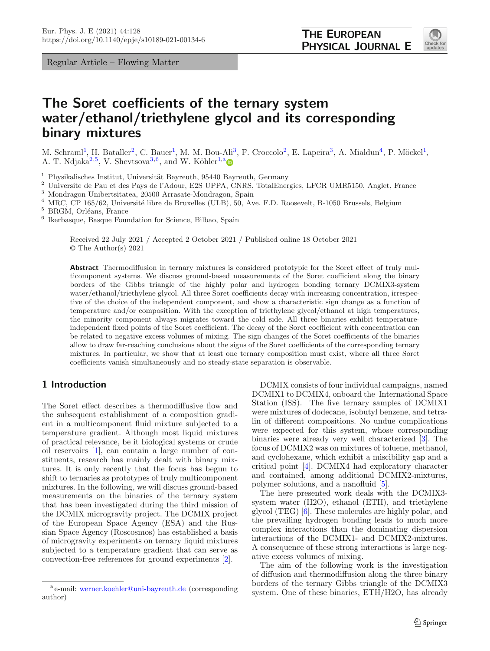Regular Article – Flowing Matter

<span id="page-0-3"></span><span id="page-0-1"></span><span id="page-0-0"></span>

# **The Soret coefficients of the ternary system water/ethanol/triethylene glycol and its corresponding binary mixtures**

M. Schraml<sup>[1](#page-0-0)</sup>, H. Bataller<sup>[2](#page-0-0)</sup>, C. Bauer<sup>1</sup>, M. M. Bou-Ali<sup>[3](#page-0-1)</sup>, F. Croccolo<sup>2</sup>, E. Lapeira<sup>3</sup>, A. Mialdun<sup>[4](#page-0-2)</sup>, P. Möckel<sup>1</sup>, A. T. Ndjaka<sup>[2](#page-0-0)[,5](#page-0-3)</sup>, V. Shevtsova<sup>[3](#page-0-1)[,6](#page-0-4)</sup>, and W. Köhler<sup>[1,](#page-0-0)[a](http://orcid.org/0000-0002-3716-0177)</sup>

 $1$  Physikalisches Institut, Universität Bayreuth, 95440 Bayreuth, Germany

<sup>2</sup> Universite de Pau et des Pays de l'Adour, E2S UPPA, CNRS, TotalEnergies, LFCR UMR5150, Anglet, France

<sup>3</sup> Mondragon Unibertsitatea, 20500 Arrasate-Mondragon, Spain

<sup>4</sup> MRC, CP 165/62, Université libre de Bruxelles (ULB), 50, Ave. F.D. Roosevelt, B-1050 Brussels, Belgium

 $^5$  BRGM, Orléans, France

 $^6$ Ikerbasque, Basque Foundation for Science, Bilbao, Spain

<span id="page-0-4"></span><span id="page-0-2"></span>Received 22 July 2021 / Accepted 2 October 2021 / Published online 18 October 2021 © The Author(s) 2021

**Abstract** Thermodiffusion in ternary mixtures is considered prototypic for the Soret effect of truly multicomponent systems. We discuss ground-based measurements of the Soret coefficient along the binary borders of the Gibbs triangle of the highly polar and hydrogen bonding ternary DCMIX3-system water/ethanol/triethylene glycol. All three Soret coefficients decay with increasing concentration, irrespective of the choice of the independent component, and show a characteristic sign change as a function of temperature and/or composition. With the exception of triethylene glycol/ethanol at high temperatures, the minority component always migrates toward the cold side. All three binaries exhibit temperatureindependent fixed points of the Soret coefficient. The decay of the Soret coefficient with concentration can be related to negative excess volumes of mixing. The sign changes of the Soret coefficients of the binaries allow to draw far-reaching conclusions about the signs of the Soret coefficients of the corresponding ternary mixtures. In particular, we show that at least one ternary composition must exist, where all three Soret coefficients vanish simultaneously and no steady-state separation is observable.

## **1 Introduction**

The Soret effect describes a thermodiffusive flow and the subsequent establishment of a composition gradient in a multicomponent fluid mixture subjected to a temperature gradient. Although most liquid mixtures of practical relevance, be it biological systems or crude oil reservoirs [\[1\]](#page-10-0), can contain a large number of constituents, research has mainly dealt with binary mixtures. It is only recently that the focus has begun to shift to ternaries as prototypes of truly multicomponent mixtures. In the following, we will discuss ground-based measurements on the binaries of the ternary system that has been investigated during the third mission of the DCMIX microgravity project. The DCMIX project of the European Space Agency (ESA) and the Russian Space Agency (Roscosmos) has established a basis of microgravity experiments on ternary liquid mixtures subjected to a temperature gradient that can serve as convection-free references for ground experiments [\[2\]](#page-10-1).

DCMIX consists of four individual campaigns, named DCMIX1 to DCMIX4, onboard the International Space Station (ISS). The five ternary samples of DCMIX1 were mixtures of dodecane, isobutyl benzene, and tetralin of different compositions. No undue complications were expected for this system, whose corresponding binaries were already very well characterized [\[3](#page-10-2)]. The focus of DCMIX2 was on mixtures of toluene, methanol, and cyclohexane, which exhibit a miscibility gap and a critical point [\[4](#page-10-3)]. DCMIX4 had exploratory character and contained, among additional DCMIX2-mixtures, polymer solutions, and a nanofluid [\[5](#page-10-4)].

The here presented work deals with the DCMIX3 system water (H2O), ethanol (ETH), and triethylene glycol (TEG) [\[6](#page-10-5)]. These molecules are highly polar, and the prevailing hydrogen bonding leads to much more complex interactions than the dominating dispersion interactions of the DCMIX1- and DCMIX2-mixtures. A consequence of these strong interactions is large negative excess volumes of mixing.

The aim of the following work is the investigation of diffusion and thermodiffusion along the three binary borders of the ternary Gibbs triangle of the DCMIX3 system. One of these binaries, ETH/H2O, has already

<sup>a</sup> e-mail: [werner.koehler@uni-bayreuth.de](mailto:werner.koehler@uni-bayreuth.de) (corresponding author)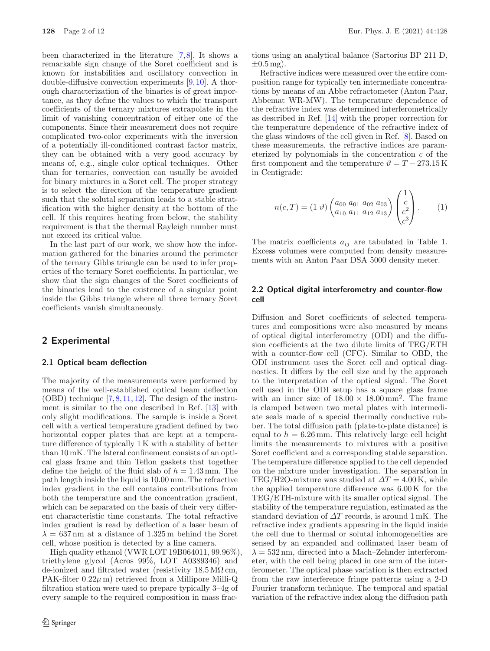been characterized in the literature [\[7,](#page-10-6)[8\]](#page-10-7). It shows a remarkable sign change of the Soret coefficient and is known for instabilities and oscillatory convection in double-diffusive convection experiments [\[9](#page-10-8)[,10](#page-10-9)]. A thorough characterization of the binaries is of great importance, as they define the values to which the transport coefficients of the ternary mixtures extrapolate in the limit of vanishing concentration of either one of the components. Since their measurement does not require complicated two-color experiments with the inversion of a potentially ill-conditioned contrast factor matrix, they can be obtained with a very good accuracy by means of, e.g., single color optical techniques. Other than for ternaries, convection can usually be avoided for binary mixtures in a Soret cell. The proper strategy is to select the direction of the temperature gradient such that the solutal separation leads to a stable stratification with the higher density at the bottom of the cell. If this requires heating from below, the stability requirement is that the thermal Rayleigh number must not exceed its critical value.

In the last part of our work, we show how the information gathered for the binaries around the perimeter of the ternary Gibbs triangle can be used to infer properties of the ternary Soret coefficients. In particular, we show that the sign changes of the Soret coefficients of the binaries lead to the existence of a singular point inside the Gibbs triangle where all three ternary Soret coefficients vanish simultaneously.

# **2 Experimental**

#### **2.1 Optical beam deflection**

The majority of the measurements were performed by means of the well-established optical beam deflection  $(OBD)$  technique  $[7,8,11,12]$  $[7,8,11,12]$  $[7,8,11,12]$  $[7,8,11,12]$  $[7,8,11,12]$ . The design of the instrument is similar to the one described in Ref. [\[13\]](#page-10-12) with only slight modifications. The sample is inside a Soret cell with a vertical temperature gradient defined by two horizontal copper plates that are kept at a temperature difference of typically 1 K with a stability of better than 10 mK. The lateral confinement consists of an optical glass frame and thin Teflon gaskets that together define the height of the fluid slab of  $h = 1.43$  mm. The path length inside the liquid is 10.00 mm. The refractive index gradient in the cell contains contributions from both the temperature and the concentration gradient, which can be separated on the basis of their very different characteristic time constants. The total refractive index gradient is read by deflection of a laser beam of  $\lambda = 637 \,\mathrm{nm}$  at a distance of 1.325 m behind the Soret cell, whose position is detected by a line camera.

High quality ethanol (VWR LOT 19B064011, 99.96%), triethylene glycol (Acros 99%, LOT A0389346) and de-ionized and filtrated water (resistivity  $18.5 \text{ M}\Omega \text{cm}$ , PAK-filter  $0.22\mu$  m) retrieved from a Millipore Milli-Q filtration station were used to prepare typically 3–4g of every sample to the required composition in mass fractions using an analytical balance (Sartorius BP 211 D,  $\pm 0.5$  mg).

Refractive indices were measured over the entire composition range for typically ten intermediate concentrations by means of an Abbe refractometer (Anton Paar, Abbemat WR-MW). The temperature dependence of the refractive index was determined interferometrically as described in Ref. [\[14\]](#page-10-13) with the proper correction for the temperature dependence of the refractive index of the glass windows of the cell given in Ref. [\[8](#page-10-7)]. Based on these measurements, the refractive indices are parameterized by polynomials in the concentration  $c$  of the first component and the temperature  $\vartheta = T - 273.15 \,\mathrm{K}$ in Centigrade:

<span id="page-1-0"></span>
$$
n(c,T) = (1 \,\vartheta) \begin{pmatrix} a_{00} \, a_{01} \, a_{02} \, a_{03} \\ a_{10} \, a_{11} \, a_{12} \, a_{13} \end{pmatrix} \begin{pmatrix} 1 \\ c \\ c^2 \\ c^3 \end{pmatrix} . \tag{1}
$$

The matrix coefficients a*ij* are tabulated in Table [1.](#page-2-0) Excess volumes were computed from density measurements with an Anton Paar DSA 5000 density meter.

## **2.2 Optical digital interferometry and counter-flow cell**

Diffusion and Soret coefficients of selected temperatures and compositions were also measured by means of optical digital interferometry (ODI) and the diffusion coefficients at the two dilute limits of TEG/ETH with a counter-flow cell (CFC). Similar to OBD, the ODI instrument uses the Soret cell and optical diagnostics. It differs by the cell size and by the approach to the interpretation of the optical signal. The Soret cell used in the ODI setup has a square glass frame with an inner size of  $18.00 \times 18.00 \text{ mm}^2$ . The frame is clamped between two metal plates with intermediate seals made of a special thermally conductive rubber. The total diffusion path (plate-to-plate distance) is equal to  $h = 6.26$  mm. This relatively large cell height limits the measurements to mixtures with a positive Soret coefficient and a corresponding stable separation. The temperature difference applied to the cell depended on the mixture under investigation. The separation in TEG/H2O-mixture was studied at  $\Delta T = 4.00$  K, while the applied temperature difference was 6.00 K for the TEG/ETH-mixture with its smaller optical signal. The stability of the temperature regulation, estimated as the standard deviation of  $\Delta T$  records, is around 1 mK. The refractive index gradients appearing in the liquid inside the cell due to thermal or solutal inhomogeneities are sensed by an expanded and collimated laser beam of  $\lambda = 532 \,\mathrm{nm}$ , directed into a Mach–Zehnder interferometer, with the cell being placed in one arm of the interferometer. The optical phase variation is then extracted from the raw interference fringe patterns using a 2-D Fourier transform technique. The temporal and spatial variation of the refractive index along the diffusion path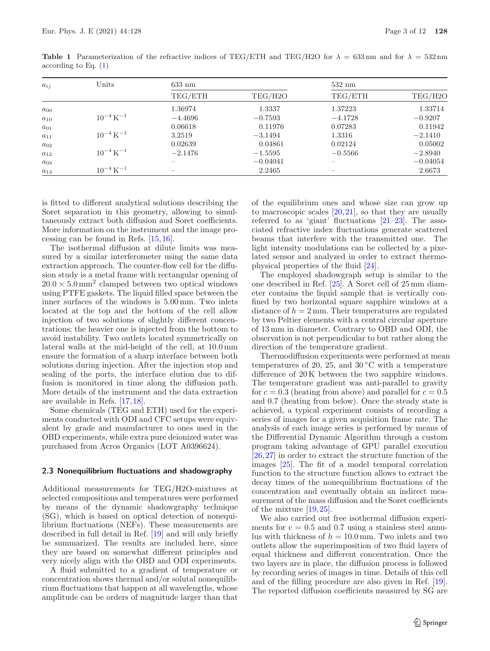| $a_{ij}$ | Units                     | 633 nm    |                      |           | $532 \text{ nm}$ |  |
|----------|---------------------------|-----------|----------------------|-----------|------------------|--|
|          |                           | TEG/ETH   | TEG/H <sub>2</sub> O | TEG/ETH   | TEG/H2O          |  |
| $a_{00}$ |                           | 1.36974   | 1.3337               | 1.37223   | 1.33714          |  |
| $a_{10}$ | $10^{-4}$ K <sup>-1</sup> | $-4.4696$ | $-0.7593$            | $-4.1728$ | $-0.9207$        |  |
| $a_{01}$ |                           | 0.06618   | 0.11976              | 0.07283   | 0.11942          |  |
| $a_{11}$ | $10^{-4}$ K <sup>-1</sup> | 3.2519    | $-3.1494$            | 1.3316    | $-2.1410$        |  |
| $a_{02}$ |                           | 0.02639   | 0.04861              | 0.02124   | 0.05002          |  |
| $a_{12}$ | $10^{-4}$ K <sup>-1</sup> | $-2.1476$ | $-1.5595$            | $-0.5566$ | $-2.8940$        |  |
| $a_{03}$ |                           |           | $-0.04041$           |           | $-0.04054$       |  |
| $a_{13}$ | $10^{-4}$ K <sup>-1</sup> |           | 2.2465               |           | 2.6673           |  |

<span id="page-2-0"></span>**Table 1** Parameterization of the refractive indices of TEG/ETH and TEG/H2O for  $\lambda = 633 \text{ nm}$  and for  $\lambda = 532 \text{ nm}$ according to Eq. [\(1\)](#page-1-0)

is fitted to different analytical solutions describing the Soret separation in this geometry, allowing to simultaneously extract both diffusion and Soret coefficients. More information on the instrument and the image processing can be found in Refs. [\[15](#page-10-14)[,16](#page-11-0)].

The isothermal diffusion at dilute limits was measured by a similar interferometer using the same data extraction approach. The counter-flow cell for the diffusion study is a metal frame with rectangular opening of  $20.0 \times 5.0 \,\mathrm{mm}^2$  clamped between two optical windows using PTFE gaskets. The liquid filled space between the inner surfaces of the windows is 5.00 mm. Two inlets located at the top and the bottom of the cell allow injection of two solutions of slightly different concentrations; the heavier one is injected from the bottom to avoid instability. Two outlets located symmetrically on lateral walls at the mid-height of the cell, at 10.0 mm ensure the formation of a sharp interface between both solutions during injection. After the injection stop and sealing of the ports, the interface elution due to diffusion is monitored in time along the diffusion path. More details of the instrument and the data extraction are available in Refs. [\[17,](#page-11-1)[18\]](#page-11-2).

Some chemicals (TEG and ETH) used for the experiments conducted with ODI and CFC setups were equivalent by grade and manufacturer to ones used in the OBD experiments, while extra pure deionized water was purchased from Acros Organics (LOT A0396624).

### **2.3 Nonequilibrium fluctuations and shadowgraphy**

Additional measurements for TEG/H2O-mixtures at selected compositions and temperatures were performed by means of the dynamic shadowgraphy technique (SG), which is based on optical detection of nonequilibrium fluctuations (NEFs). These measurements are described in full detail in Ref. [\[19](#page-11-3)] and will only briefly be summarized. The results are included here, since they are based on somewhat different principles and very nicely align with the OBD and ODI experiments.

A fluid submitted to a gradient of temperature or concentration shows thermal and/or solutal nonequilibrium fluctuations that happen at all wavelengths, whose amplitude can be orders of magnitude larger than that

of the equilibrium ones and whose size can grow up to macroscopic scales [\[20](#page-11-4),[21\]](#page-11-5), so that they are usually referred to as 'giant' fluctuations [\[21](#page-11-5)[–23\]](#page-11-6). The associated refractive index fluctuations generate scattered beams that interfere with the transmitted one. The light intensity modulations can be collected by a pixelated sensor and analyzed in order to extract thermophysical properties of the fluid [\[24](#page-11-7)].

The employed shadowgraph setup is similar to the one described in Ref. [\[25](#page-11-8)]. A Soret cell of 25 mm diameter contains the liquid sample that is vertically confined by two horizontal square sapphire windows at a distance of  $h = 2$  mm. Their temperatures are regulated by two Peltier elements with a central circular aperture of 13 mm in diameter. Contrary to OBD and ODI, the observation is not perpendicular to but rather along the direction of the temperature gradient.

Thermodiffusion experiments were performed at mean temperatures of 20, 25, and  $30^{\circ}$ C with a temperature difference of 20 K between the two sapphire windows. The temperature gradient was anti-parallel to gravity for  $c = 0.3$  (heating from above) and parallel for  $c = 0.5$ and 0.7 (heating from below). Once the steady state is achieved, a typical experiment consists of recording a series of images for a given acquisition frame rate. The analysis of each image series is performed by means of the Differential Dynamic Algorithm through a custom program taking advantage of GPU parallel execution [\[26,](#page-11-9)[27\]](#page-11-10) in order to extract the structure function of the images [\[25](#page-11-8)]. The fit of a model temporal correlation function to the structure function allows to extract the decay times of the nonequilibrium fluctuations of the concentration and eventually obtain an indirect measurement of the mass diffusion and the Soret coefficients of the mixture [\[19,](#page-11-3)[25](#page-11-8)].

We also carried out free isothermal diffusion experiments for  $c = 0.5$  and 0.7 using a stainless steel annulus with thickness of  $h = 10.0$  mm. Two inlets and two outlets allow the superimposition of two fluid layers of equal thickness and different concentration. Once the two layers are in place, the diffusion process is followed by recording series of images in time. Details of this cell and of the filling procedure are also given in Ref. [\[19\]](#page-11-3). The reported diffusion coefficients measured by SG are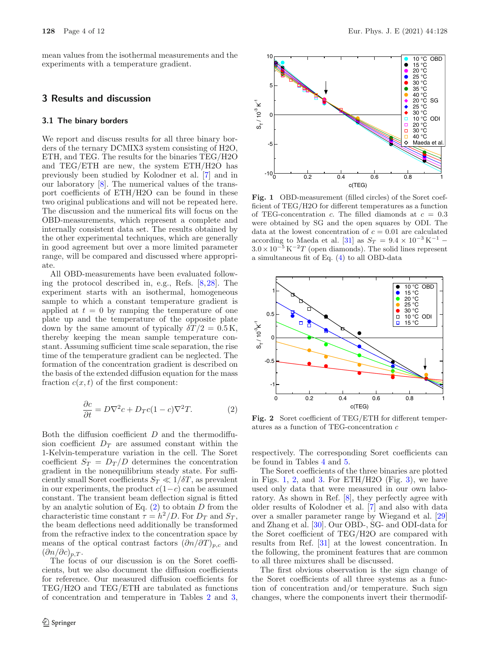mean values from the isothermal measurements and the experiments with a temperature gradient.

# **3 Results and discussion**

#### **3.1 The binary borders**

We report and discuss results for all three binary borders of the ternary DCMIX3 system consisting of H2O, ETH, and TEG. The results for the binaries TEG/H2O and TEG/ETH are new, the system ETH/H2O has previously been studied by Kolodner et al. [\[7\]](#page-10-6) and in our laboratory [\[8\]](#page-10-7). The numerical values of the transport coefficients of ETH/H2O can be found in these two original publications and will not be repeated here. The discussion and the numerical fits will focus on the OBD-measurements, which represent a complete and internally consistent data set. The results obtained by the other experimental techniques, which are generally in good agreement but over a more limited parameter range, will be compared and discussed where appropriate.

All OBD-measurements have been evaluated following the protocol described in, e.g., Refs. [\[8](#page-10-7)[,28](#page-11-11)]. The experiment starts with an isothermal, homogeneous sample to which a constant temperature gradient is applied at  $t = 0$  by ramping the temperature of one plate up and the temperature of the opposite plate down by the same amount of typically  $\delta T/2=0.5$  K, thereby keeping the mean sample temperature constant. Assuming sufficient time scale separation, the rise time of the temperature gradient can be neglected. The formation of the concentration gradient is described on the basis of the extended diffusion equation for the mass fraction  $c(x, t)$  of the first component:

<span id="page-3-0"></span>
$$
\frac{\partial c}{\partial t} = D\nabla^2 c + D_T c (1 - c)\nabla^2 T.
$$
 (2)

Both the diffusion coefficient  $D$  and the thermodiffusion coefficient  $D_T$  are assumed constant within the 1-Kelvin-temperature variation in the cell. The Soret coefficient  $S_T = D_T/D$  determines the concentration gradient in the nonequilibrium steady state. For sufficiently small Soret coefficients  $S_T \ll 1/\delta T$ , as prevalent in our experiments, the product  $c(1-c)$  can be assumed constant. The transient beam deflection signal is fitted by an analytic solution of Eq.  $(2)$  to obtain D from the characteristic time constant  $\tau = h^2/D$ . For  $D_T$  and  $S_T$ , the beam deflections need additionally be transformed from the refractive index to the concentration space by means of the optical contrast factors  $(\partial n/\partial T)_{p,c}$  and  $(\partial n/\partial c)_{p,T}$ .

The focus of our discussion is on the Soret coefficients, but we also document the diffusion coefficients for reference. Our measured diffusion coefficients for TEG/H2O and TEG/ETH are tabulated as functions of concentration and temperature in Tables [2](#page-4-0) and [3,](#page-4-1)



<span id="page-3-1"></span>Fig. 1 OBD-measurement (filled circles) of the Soret coefficient of TEG/H2O for different temperatures as a function of TEG-concentration c. The filled diamonds at  $c = 0.3$ were obtained by SG and the open squares by ODI. The data at the lowest concentration of  $c = 0.01$  are calculated according to Maeda et al. [\[31](#page-11-12)] as  $S_T = 9.4 \times 10^{-3} \text{ K}^{-1}$  *−*  $3.0 \times 10^{-5}$  K<sup>-2</sup>T (open diamonds). The solid lines represent a simultaneous fit of Eq. [\(4\)](#page-6-0) to all OBD-data



<span id="page-3-2"></span>**Fig. 2** Soret coefficient of TEG/ETH for different temperatures as a function of TEG-concentration c

respectively. The corresponding Soret coefficients can be found in Tables [4](#page-5-0) and [5.](#page-5-1)

The Soret coefficients of the three binaries are plotted in Figs. [1,](#page-3-1) [2,](#page-3-2) and [3.](#page-5-2) For ETH/H2O (Fig. [3\)](#page-5-2), we have used only data that were measured in our own laboratory. As shown in Ref. [\[8](#page-10-7)], they perfectly agree with older results of Kolodner et al. [\[7](#page-10-6)] and also with data over a smaller parameter range by Wiegand et al. [\[29](#page-11-13)] and Zhang et al. [\[30](#page-11-14)]. Our OBD-, SG- and ODI-data for the Soret coefficient of TEG/H2O are compared with results from Ref. [\[31\]](#page-11-12) at the lowest concentration. In the following, the prominent features that are common to all three mixtures shall be discussed.

The first obvious observation is the sign change of the Soret coefficients of all three systems as a function of concentration and/or temperature. Such sign changes, where the components invert their thermodif-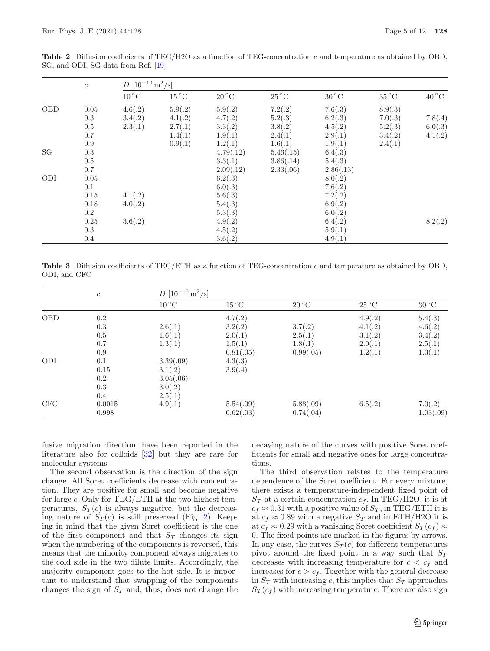|            | $\boldsymbol{c}$ | $D[10^{-10} \text{ m}^2/\text{s}]$ |                          |                          |                          |                |                          |                |
|------------|------------------|------------------------------------|--------------------------|--------------------------|--------------------------|----------------|--------------------------|----------------|
|            |                  | $10^{\circ}$ C                     | $15\,^{\circ}\mathrm{C}$ | $20\,^{\circ}\mathrm{C}$ | $25\,^{\circ}\mathrm{C}$ | $30^{\circ}$ C | $35\,^{\circ}\mathrm{C}$ | $40^{\circ}$ C |
| <b>OBD</b> | 0.05             | 4.6(.2)                            | 5.9(.2)                  | 5.9(.2)                  | 7.2(.2)                  | 7.6(.3)        | 8.9(.3)                  |                |
|            | 0.3              | 3.4(.2)                            | 4.1(.2)                  | 4.7(.2)                  | 5.2(.3)                  | 6.2(.3)        | 7.0(.3)                  | 7.8(.4)        |
|            | $0.5\,$          | 2.3(.1)                            | 2.7(.1)                  | 3.3(.2)                  | 3.8(.2)                  | 4.5(.2)        | 5.2(.3)                  | 6.0(.3)        |
|            | 0.7              |                                    | 1.4(.1)                  | 1.9(.1)                  | 2.4(.1)                  | 2.9(.1)        | 3.4(.2)                  | 4.1(.2)        |
|            | 0.9              |                                    | 0.9(.1)                  | 1.2(.1)                  | 1.6(.1)                  | 1.9(.1)        | 2.4(.1)                  |                |
| SG         | $0.3\,$          |                                    |                          | 4.79(.12)                | 5.46(.15)                | 6.4(.3)        |                          |                |
|            | $0.5\,$          |                                    |                          | 3.3(.1)                  | 3.86(.14)                | 5.4(.3)        |                          |                |
|            | 0.7              |                                    |                          | 2.09(.12)                | 2.33(.06)                | 2.86(.13)      |                          |                |
| ODI        | 0.05             |                                    |                          | 6.2(.3)                  |                          | 8.0(.2)        |                          |                |
|            | 0.1              |                                    |                          | 6.0(.3)                  |                          | 7.6(.2)        |                          |                |
|            | 0.15             | 4.1(.2)                            |                          | 5.6(.3)                  |                          | 7.2(.2)        |                          |                |
|            | 0.18             | 4.0(.2)                            |                          | 5.4(.3)                  |                          | 6.9(.2)        |                          |                |
|            | 0.2              |                                    |                          | 5.3(.3)                  |                          | 6.0(.2)        |                          |                |
|            | 0.25             | 3.6(.2)                            |                          | 4.9(.2)                  |                          | 6.4(.2)        |                          | 8.2(.2)        |
|            | 0.3              |                                    |                          | 4.5(.2)                  |                          | 5.9(.1)        |                          |                |
|            | 0.4              |                                    |                          | 3.6(.2)                  |                          | 4.9(.1)        |                          |                |

<span id="page-4-0"></span>**Table 2** Diffusion coefficients of TEG/H2O as a function of TEG-concentration c and temperature as obtained by OBD, SG, and ODI. SG-data from Ref. [\[19](#page-11-3)]

<span id="page-4-1"></span>**Table 3** Diffusion coefficients of TEG/ETH as a function of TEG-concentration c and temperature as obtained by OBD, ODI, and CFC

|            | $\boldsymbol{c}$ | $D[10^{-10} \text{ m}^2/\text{s}]$ |                |                          |                          |                          |
|------------|------------------|------------------------------------|----------------|--------------------------|--------------------------|--------------------------|
|            |                  | $10^{\circ}$ C                     | $15^{\circ}$ C | $20\,^{\circ}\mathrm{C}$ | $25\,^{\circ}\mathrm{C}$ | $30\,^{\circ}\mathrm{C}$ |
| <b>OBD</b> | 0.2              |                                    | 4.7(.2)        |                          | 4.9(.2)                  | 5.4(.3)                  |
|            | 0.3              | 2.6(.1)                            | 3.2(.2)        | 3.7(.2)                  | 4.1(.2)                  | 4.6(.2)                  |
|            | 0.5              | 1.6(.1)                            | 2.0(.1)        | 2.5(.1)                  | 3.1(.2)                  | 3.4(.2)                  |
|            | 0.7              | 1.3(.1)                            | 1.5(.1)        | 1.8(.1)                  | 2.0(.1)                  | 2.5(.1)                  |
|            | 0.9              |                                    | 0.81(.05)      | 0.99(.05)                | 1.2(.1)                  | 1.3(.1)                  |
| ODI        | 0.1              | 3.39(.09)                          | 4.3(.3)        |                          |                          |                          |
|            | 0.15             | 3.1(.2)                            | 3.9(.4)        |                          |                          |                          |
|            | 0.2              | 3.05(.06)                          |                |                          |                          |                          |
|            | 0.3              | 3.0(.2)                            |                |                          |                          |                          |
|            | 0.4              | 2.5(.1)                            |                |                          |                          |                          |
| CFC        | 0.0015           | 4.9(.1)                            | 5.54(.09)      | 5.88(.09)                | 6.5(.2)                  | 7.0(.2)                  |
|            | 0.998            |                                    | 0.62(.03)      | 0.74(.04)                |                          | 1.03(.09)                |

fusive migration direction, have been reported in the literature also for colloids [\[32\]](#page-11-15) but they are rare for molecular systems.

The second observation is the direction of the sign change. All Soret coefficients decrease with concentration. They are positive for small and become negative for large  $c$ . Only for TEG/ETH at the two highest temperatures,  $S_T(c)$  is always negative, but the decreasing nature of  $S_T(c)$  is still preserved (Fig. [2\)](#page-3-2). Keeping in mind that the given Soret coefficient is the one of the first component and that  $S_T$  changes its sign when the numbering of the components is reversed, this means that the minority component always migrates to the cold side in the two dilute limits. Accordingly, the majority component goes to the hot side. It is important to understand that swapping of the components changes the sign of  $S_T$  and, thus, does not change the decaying nature of the curves with positive Soret coefficients for small and negative ones for large concentrations.

The third observation relates to the temperature dependence of the Soret coefficient. For every mixture, there exists a temperature-independent fixed point of  $S_T$  at a certain concentration  $c_f.$  In TEG/H2O, it is at  $c_f \approx 0.31$  with a positive value of  $S_T$ , in TEG/ETH it is at  $c_f \approx 0.89$  with a negative  $S_T$  and in ETH/H2O it is at  $c_f \approx 0.29$  with a vanishing Soret coefficient  $S_T(c_f) \approx$ 0. The fixed points are marked in the figures by arrows. In any case, the curves  $S_T(c)$  for different temperatures pivot around the fixed point in a way such that S*<sup>T</sup>* decreases with increasing temperature for  $c < c_f$  and increases for  $c>c_f$ . Together with the general decrease in  $S_T$  with increasing c, this implies that  $S_T$  approaches  $S_T(c_f)$  with increasing temperature. There are also sign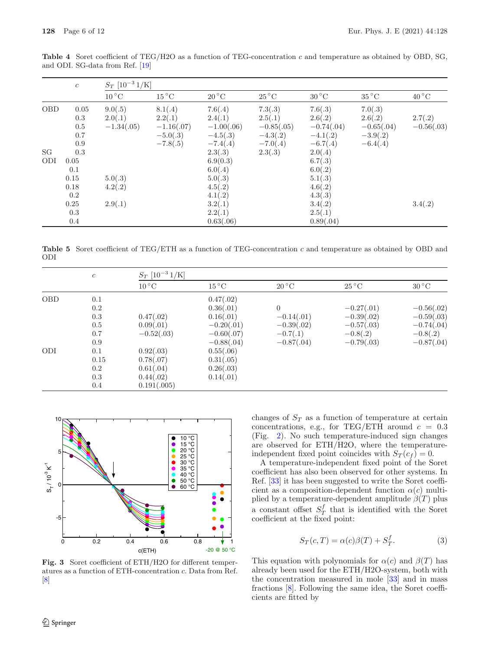|            | $\boldsymbol{c}$ | $S_T$ [10 <sup>-3</sup> 1/K] |                          |                          |                          |                          |                          |                |
|------------|------------------|------------------------------|--------------------------|--------------------------|--------------------------|--------------------------|--------------------------|----------------|
|            |                  | $10\,^{\circ}\mathrm{C}$     | $15\,^{\circ}\mathrm{C}$ | $20\,^{\circ}\mathrm{C}$ | $25\,^{\circ}\mathrm{C}$ | $30\,^{\circ}\mathrm{C}$ | $35\,^{\circ}\mathrm{C}$ | $40^{\circ}$ C |
| <b>OBD</b> | 0.05             | 9.0(.5)                      | 8.1(.4)                  | 7.6(.4)                  | 7.3(.3)                  | 7.6(.3)                  | 7.0(.3)                  |                |
|            | 0.3              | 2.0(.1)                      | 2.2(.1)                  | 2.4(.1)                  | 2.5(.1)                  | 2.6(.2)                  | 2.6(.2)                  | 2.7(.2)        |
|            | $0.5\,$          | $-1.34(.05)$                 | $-1.16(.07)$             | $-1.00(.06)$             | $-0.85(.05)$             | $-0.74(.04)$             | $-0.65(.04)$             | $-0.56(.03)$   |
|            | 0.7              |                              | $-5.0(.3)$               | $-4.5(.3)$               | $-4.3(.2)$               | $-4.1(.2)$               | $-3.9(.2)$               |                |
|            | 0.9              |                              | $-7.8(.5)$               | $-7.4(.4)$               | $-7.0(.4)$               | $-6.7(.4)$               | $-6.4(.4)$               |                |
| SG         | 0.3              |                              |                          | 2.3(.3)                  | 2.3(.3)                  | 2.0(.4)                  |                          |                |
| ODI        | 0.05             |                              |                          | 6.9(0.3)                 |                          | 6.7(.3)                  |                          |                |
|            | 0.1              |                              |                          | 6.0(.4)                  |                          | 6.0(.2)                  |                          |                |
|            | 0.15             | 5.0(.3)                      |                          | 5.0(.3)                  |                          | 5.1(.3)                  |                          |                |
|            | 0.18             | 4.2(.2)                      |                          | 4.5(.2)                  |                          | 4.6(.2)                  |                          |                |
|            | 0.2              |                              |                          | 4.1(.2)                  |                          | 4.3(.3)                  |                          |                |
|            | 0.25             | 2.9(.1)                      |                          | 3.2(.1)                  |                          | 3.4(.2)                  |                          | 3.4(.2)        |
|            | 0.3              |                              |                          | 2.2(.1)                  |                          | 2.5(.1)                  |                          |                |
|            | 0.4              |                              |                          | 0.63(.06)                |                          | 0.89(.04)                |                          |                |

<span id="page-5-0"></span>**Table 4** Soret coefficient of TEG/H2O as a function of TEG-concentration c and temperature as obtained by OBD, SG, and ODI. SG-data from Ref. [\[19](#page-11-3)]

<span id="page-5-1"></span>**Table 5** Soret coefficient of TEG/ETH as a function of TEG-concentration c and temperature as obtained by OBD and ODI

|            | $\boldsymbol{c}$ | $S_T$ [10 <sup>-3</sup> 1/K] |                |                          |                          |                |
|------------|------------------|------------------------------|----------------|--------------------------|--------------------------|----------------|
|            |                  | $10^{\circ}$ C               | $15^{\circ}$ C | $20\,^{\circ}\mathrm{C}$ | $25\,^{\circ}\mathrm{C}$ | $30^{\circ}$ C |
| <b>OBD</b> | 0.1              |                              | 0.47(.02)      |                          |                          |                |
|            | 0.2              |                              | 0.36(.01)      | $\Omega$                 | $-0.27(.01)$             | $-0.56(.02)$   |
|            | 0.3              | 0.47(.02)                    | 0.16(.01)      | $-0.14(.01)$             | $-0.39(.02)$             | $-0.59(.03)$   |
|            | 0.5              | 0.09(.01)                    | $-0.20(.01)$   | $-0.39(.02)$             | $-0.57(.03)$             | $-0.74(.04)$   |
|            | 0.7              | $-0.52(.03)$                 | $-0.60(.07)$   | $-0.7(0.1)$              | $-0.8(.2)$               | $-0.8(.2)$     |
|            | 0.9              |                              | $-0.88(.04)$   | $-0.87(.04)$             | $-0.79(.03)$             | $-0.87(.04)$   |
| ODI        | 0.1              | 0.92(.03)                    | 0.55(.06)      |                          |                          |                |
|            | 0.15             | 0.78(.07)                    | 0.31(.05)      |                          |                          |                |
|            | 0.2              | 0.61(.04)                    | 0.26(.03)      |                          |                          |                |
|            | 0.3              | 0.44(.02)                    | 0.14(.01)      |                          |                          |                |
|            | 0.4              | 0.191(.005)                  |                |                          |                          |                |



<span id="page-5-2"></span>**Fig. 3** Soret coefficient of ETH/H2O for different temperatures as a function of ETH-concentration c. Data from Ref. [\[8](#page-10-7)]

changes of  $S_T$  as a function of temperature at certain concentrations, e.g., for TEG/ETH around  $c = 0.3$ (Fig. [2\)](#page-3-2). No such temperature-induced sign changes are observed for ETH/H2O, where the temperatureindependent fixed point coincides with  $S_T(c_f) = 0$ .

A temperature-independent fixed point of the Soret coefficient has also been observed for other systems. In Ref. [\[33](#page-11-16)] it has been suggested to write the Soret coefficient as a composition-dependent function  $\alpha(c)$  multiplied by a temperature-dependent amplitude  $\beta(T)$  plus a constant offset  $S_T^f$  that is identified with the Soret coefficient at the fixed point:

<span id="page-5-3"></span>
$$
S_T(c,T) = \alpha(c)\beta(T) + S_T^f.
$$
 (3)

This equation with polynomials for  $\alpha(c)$  and  $\beta(T)$  has already been used for the ETH/H2O-system, both with the concentration measured in mole [\[33](#page-11-16)] and in mass fractions [\[8\]](#page-10-7). Following the same idea, the Soret coefficients are fitted by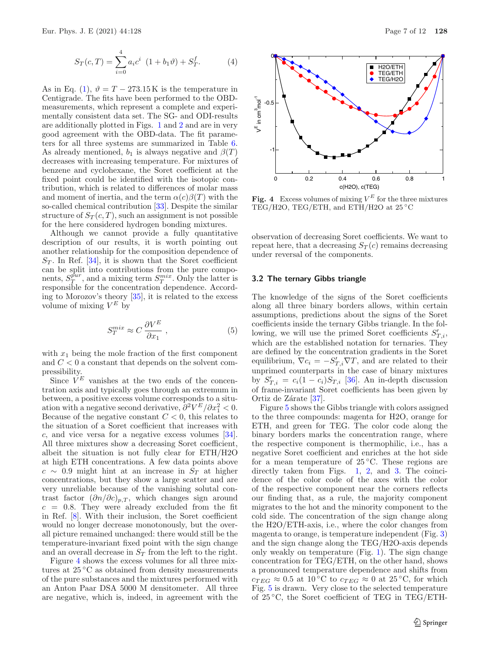<span id="page-6-0"></span>
$$
S_T(c,T) = \sum_{i=0}^{4} a_i c^i \ (1 + b_1 \vartheta) + S_T^f. \tag{4}
$$

As in Eq. [\(1\)](#page-1-0),  $\vartheta = T - 273.15$ K is the temperature in Centigrade. The fits have been performed to the OBDmeasurements, which represent a complete and experimentally consistent data set. The SG- and ODI-results are additionally plotted in Figs. [1](#page-3-1) and [2](#page-3-2) and are in very good agreement with the OBD-data. The fit parameters for all three systems are summarized in Table [6.](#page-7-0) As already mentioned,  $b_1$  is always negative and  $\beta(T)$ decreases with increasing temperature. For mixtures of benzene and cyclohexane, the Soret coefficient at the fixed point could be identified with the isotopic contribution, which is related to differences of molar mass and moment of inertia, and the term  $\alpha(c)\beta(T)$  with the so-called chemical contribution [\[33\]](#page-11-16). Despite the similar structure of  $S_T(c,T)$ , such an assignment is not possible for the here considered hydrogen bonding mixtures.

Although we cannot provide a fully quantitative description of our results, it is worth pointing out another relationship for the composition dependence of  $S_T$ . In Ref. [\[34\]](#page-11-17), it is shown that the Soret coefficient can be split into contributions from the pure components,  $S_T^{pur}$ , and a mixing term  $S_T^{mix}$ . Only the latter is responsible for the concentration dependence. According to Morozov's theory [\[35](#page-11-18)], it is related to the excess volume of mixing  $V^E$  by

$$
S_T^{mix} \approx C \frac{\partial V^E}{\partial x_1} \,, \tag{5}
$$

with  $x_1$  being the mole fraction of the first component and  $C < 0$  a constant that depends on the solvent compressibility.

Since  $V^E$  vanishes at the two ends of the concentration axis and typically goes through an extremum in between, a positive excess volume corresponds to a situation with a negative second derivative,  $\frac{\partial^2 V^E}{\partial x_1^2} < 0$ . Because of the negative constant  $C < 0$ , this relates to the situation of a Soret coefficient that increases with c, and vice versa for a negative excess volumes [\[34\]](#page-11-17). All three mixtures show a decreasing Soret coefficient, albeit the situation is not fully clear for ETH/H2O at high ETH concentrations. A few data points above  $c \sim 0.9$  might hint at an increase in  $S_T$  at higher concentrations, but they show a large scatter and are very unreliable because of the vanishing solutal contrast factor  $(\partial n/\partial c)_{p,T}$ , which changes sign around  $c = 0.8$ . They were already excluded from the fit in Ref. [\[8](#page-10-7)]. With their inclusion, the Soret coefficient would no longer decrease monotonously, but the overall picture remained unchanged: there would still be the temperature-invariant fixed point with the sign change and an overall decrease in S*<sup>T</sup>* from the left to the right.

Figure [4](#page-6-1) shows the excess volumes for all three mixtures at 25 ◦C as obtained from density measurements of the pure substances and the mixtures performed with an Anton Paar DSA 5000 M densitometer. All three are negative, which is, indeed, in agreement with the



<span id="page-6-1"></span>**Fig. 4** Excess volumes of mixing  $V^E$  for the three mixtures TEG/H2O, TEG/ETH, and ETH/H2O at 25 ◦C

observation of decreasing Soret coefficients. We want to repeat here, that a decreasing  $S_T(c)$  remains decreasing under reversal of the components.

#### **3.2 The ternary Gibbs triangle**

The knowledge of the signs of the Soret coefficients along all three binary borders allows, within certain assumptions, predictions about the signs of the Soret coefficients inside the ternary Gibbs triangle. In the following, we will use the primed Soret coefficients  $S'_{T,i}$ , which are the established notation for ternaries. They are defined by the concentration gradients in the Soret equilibrium,  $\nabla c_i = -S'_{T,i}\nabla T$ , and are related to their unprimed counterparts in the case of binary mixtures by  $S'_{T,i} = c_i(1 - c_i)S_{T,i}$  [\[36](#page-11-19)]. An in-depth discussion of frame-invariant Soret coefficients has been given by Ortiz de Zárate [\[37\]](#page-11-20).

Figure [5](#page-7-1) shows the Gibbs triangle with colors assigned to the three compounds: magenta for H2O, orange for ETH, and green for TEG. The color code along the binary borders marks the concentration range, where the respective component is thermophilic, i.e., has a negative Soret coefficient and enriches at the hot side for a mean temperature of  $25\degree C$ . These regions are directly taken from Figs. [1,](#page-3-1) [2,](#page-3-2) and [3.](#page-5-2) The coincidence of the color code of the axes with the color of the respective component near the corners reflects our finding that, as a rule, the majority component migrates to the hot and the minority component to the cold side. The concentration of the sign change along the H2O/ETH-axis, i.e., where the color changes from magenta to orange, is temperature independent (Fig. [3\)](#page-5-2) and the sign change along the TEG/H2O-axis depends only weakly on temperature (Fig. [1\)](#page-3-1). The sign change concentration for TEG/ETH, on the other hand, shows a pronounced temperature dependence and shifts from  $c_{TEG} \approx 0.5$  at 10 °C to  $c_{TEG} \approx 0$  at 25 °C, for which Fig. [5](#page-7-1) is drawn. Very close to the selected temperature of 25 ◦C, the Soret coefficient of TEG in TEG/ETH-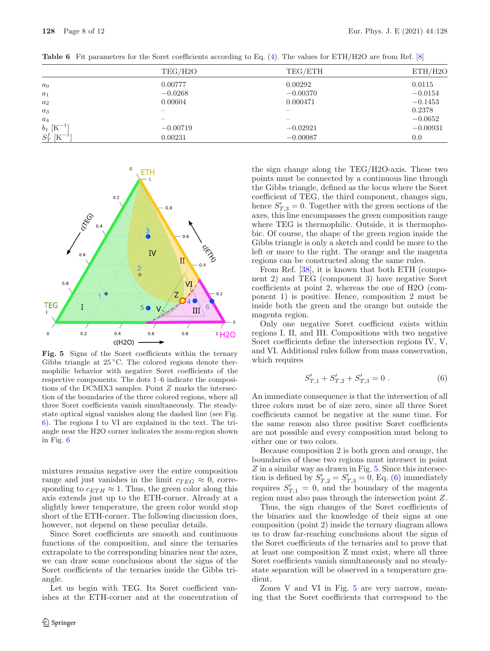|                            | TEG/H2O                  | TEG/ETH                  | ETH/H2O    |
|----------------------------|--------------------------|--------------------------|------------|
| a <sub>0</sub>             | 0.00777                  | 0.00292                  | 0.0115     |
| $a_1$                      | $-0.0268$                | $-0.00370$               | $-0.0154$  |
| $a_2$                      | 0.00604                  | 0.000471                 | $-0.1453$  |
| $a_3$                      |                          |                          | 0.2378     |
| $a_4$                      | $\overline{\phantom{0}}$ | $\overline{\phantom{0}}$ | $-0.0652$  |
| $b_1$ [K <sup>-1</sup> ]   | $-0.00719$               | $-0.02921$               | $-0.00931$ |
| $S_T^f$ [K <sup>-1</sup> ] | 0.00231                  | $-0.00087$               | 0.0        |

<span id="page-7-0"></span>**Table 6** Fit parameters for the Soret coefficients according to Eq. [\(4\)](#page-6-0). The values for ETH/H2O are from Ref. [\[8](#page-10-7)]



<span id="page-7-1"></span>**Fig. 5** Signs of the Soret coefficients within the ternary Gibbs triangle at  $25\,^{\circ}\text{C}$ . The colored regions denote thermophilic behavior with negative Soret coefficients of the respective components. The dots 1–6 indicate the compositions of the DCMIX3 samples. Point Z marks the intersection of the boundaries of the three colored regions, where all three Soret coefficients vanish simultaneously. The steadystate optical signal vanishes along the dashed line (see Fig. [6\)](#page-8-0). The regions I to VI are explained in the text. The triangle near the H2O corner indicates the zoom-region shown in Fig. [6](#page-8-0)

mixtures remains negative over the entire composition range and just vanishes in the limit  $c_{TEG} \approx 0$ , corresponding to  $c_{ETH} \approx 1$ . Thus, the green color along this axis extends just up to the ETH-corner. Already at a slightly lower temperature, the green color would stop short of the ETH-corner. The following discussion does, however, not depend on these peculiar details.

Since Soret coefficients are smooth and continuous functions of the composition, and since the ternaries extrapolate to the corresponding binaries near the axes, we can draw some conclusions about the signs of the Soret coefficients of the ternaries inside the Gibbs triangle.

Let us begin with TEG. Its Soret coefficient vanishes at the ETH-corner and at the concentration of the sign change along the TEG/H2O-axis. These two points must be connected by a continuous line through the Gibbs triangle, defined as the locus where the Soret coefficient of TEG, the third component, changes sign, hence  $S'_{T,3} = 0$ . Together with the green sections of the axes, this line encompasses the green composition range where TEG is thermophilic. Outside, it is thermophobic. Of course, the shape of the green region inside the Gibbs triangle is only a sketch and could be more to the left or more to the right. The orange and the magenta regions can be constructed along the same rules.

From Ref. [\[38](#page-11-21)], it is known that both ETH (component 2) and TEG (component 3) have negative Soret coefficients at point 2, whereas the one of H2O (component 1) is positive. Hence, composition 2 must be inside both the green and the orange but outside the magenta region.

Only one negative Soret coefficient exists within regions I, II, and III. Compositions with two negative Soret coefficients define the intersection regions IV, V, and VI. Additional rules follow from mass conservation, which requires

<span id="page-7-2"></span>
$$
S'_{T,1} + S'_{T,2} + S'_{T,3} = 0.
$$
 (6)

An immediate consequence is that the intersection of all three colors must be of size zero, since all three Soret coefficients cannot be negative at the same time. For the same reason also three positive Soret coefficients are not possible and every composition must belong to either one or two colors.

Because composition 2 is both green and orange, the boundaries of these two regions must intersect in point  $Z$  in a similar way as drawn in Fig.  $5$ . Since this intersection is defined by  $S'_{T,2} = S'_{T,3} = 0$ , Eq. [\(6\)](#page-7-2) immediately requires  $S'_{T,1} = 0$ , and the boundary of the magenta region must also pass through the intersection point Z.

Thus, the sign changes of the Soret coefficients of the binaries and the knowledge of their signs at one composition (point 2) inside the ternary diagram allows us to draw far-reaching conclusions about the signs of the Soret coefficients of the ternaries and to prove that at least one composition Z must exist, where all three Soret coefficients vanish simultaneously and no steadystate separation will be observed in a temperature gradient.

Zones V and VI in Fig. [5](#page-7-1) are very narrow, meaning that the Soret coefficients that correspond to the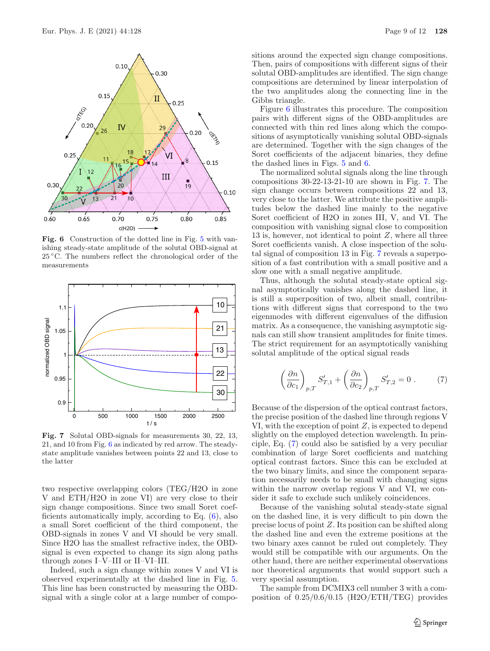

<span id="page-8-0"></span>**Fig. 6** Construction of the dotted line in Fig. [5](#page-7-1) with vanishing steady-state amplitude of the solutal OBD-signal at 25 ◦C. The numbers reflect the chronological order of the measurements



<span id="page-8-1"></span>**Fig. 7** Solutal OBD-signals for measurements 30, 22, 13, 21, and 10 from Fig. [6](#page-8-0) as indicated by red arrow. The steadystate amplitude vanishes between points 22 and 13, close to the latter

two respective overlapping colors (TEG/H2O in zone V and ETH/H2O in zone VI) are very close to their sign change compositions. Since two small Soret coefficients automatically imply, according to Eq. [\(6\)](#page-7-2), also a small Soret coefficient of the third component, the OBD-signals in zones V and VI should be very small. Since H2O has the smallest refractive index, the OBDsignal is even expected to change its sign along paths through zones I–V–III or II–VI–III.

Indeed, such a sign change within zones V and VI is observed experimentally at the dashed line in Fig. [5.](#page-7-1) This line has been constructed by measuring the OBDsignal with a single color at a large number of compositions around the expected sign change compositions. Then, pairs of compositions with different signs of their solutal OBD-amplitudes are identified. The sign change compositions are determined by linear interpolation of the two amplitudes along the connecting line in the Gibbs triangle.

Figure [6](#page-8-0) illustrates this procedure. The composition pairs with different signs of the OBD-amplitudes are connected with thin red lines along which the compositions of asymptotically vanishing solutal OBD-signals are determined. Together with the sign changes of the Soret coefficients of the adjacent binaries, they define the dashed lines in Figs. [5](#page-7-1) and [6.](#page-8-0)

The normalized solutal signals along the line through compositions 30-22-13-21-10 are shown in Fig. [7.](#page-8-1) The sign change occurs between compositions 22 and 13, very close to the latter. We attribute the positive amplitudes below the dashed line mainly to the negative Soret coefficient of H2O in zones III, V, and VI. The composition with vanishing signal close to composition 13 is, however, not identical to point Z, where all three Soret coefficients vanish. A close inspection of the solutal signal of composition 13 in Fig. [7](#page-8-1) reveals a superposition of a fast contribution with a small positive and a slow one with a small negative amplitude.

Thus, although the solutal steady-state optical signal asymptotically vanishes along the dashed line, it is still a superposition of two, albeit small, contributions with different signs that correspond to the two eigenmodes with different eigenvalues of the diffusion matrix. As a consequence, the vanishing asymptotic signals can still show transient amplitudes for finite times. The strict requirement for an asymptotically vanishing solutal amplitude of the optical signal reads

<span id="page-8-2"></span>
$$
\left(\frac{\partial n}{\partial c_1}\right)_{p,T} S'_{T,1} + \left(\frac{\partial n}{\partial c_2}\right)_{p,T} S'_{T,2} = 0.
$$
 (7)

Because of the dispersion of the optical contrast factors, the precise position of the dashed line through regions V VI, with the exception of point Z, is expected to depend slightly on the employed detection wavelength. In principle, Eq. [\(7\)](#page-8-2) could also be satisfied by a very peculiar combination of large Soret coefficients and matching optical contrast factors. Since this can be excluded at the two binary limits, and since the component separation necessarily needs to be small with changing signs within the narrow overlap regions V and VI, we consider it safe to exclude such unlikely coincidences.

Because of the vanishing solutal steady-state signal on the dashed line, it is very difficult to pin down the precise locus of point Z. Its position can be shifted along the dashed line and even the extreme positions at the two binary axes cannot be ruled out completely. They would still be compatible with our arguments. On the other hand, there are neither experimental observations nor theoretical arguments that would support such a very special assumption.

The sample from DCMIX3 cell number 3 with a composition of 0.25/0.6/0.15 (H2O/ETH/TEG) provides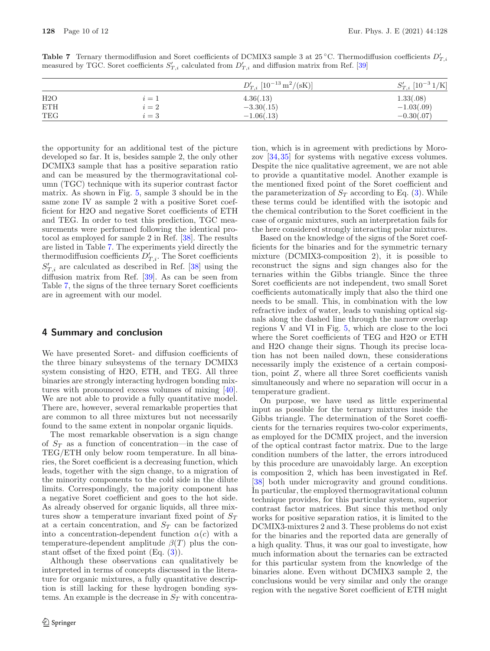<span id="page-9-0"></span>**Table 7** Ternary thermodiffusion and Soret coefficients of DCMIX3 sample 3 at 25 °C. Thermodiffusion coefficients  $D'_{T,i}$ measured by TGC. Soret coefficients  $S'_{T,i}$  calculated from  $D'_{T,i}$  and diffusion matrix from Ref. [\[39](#page-11-22)]

|            |       | $D'_{T,i}$ [10 <sup>-13</sup> m <sup>2</sup> /(sK)] | $S'_{T,i}$ [10 <sup>-3</sup> 1/K] |
|------------|-------|-----------------------------------------------------|-----------------------------------|
| H2O        | $i=1$ | 4.36(.13)                                           | 1.33(.08)                         |
| <b>ETH</b> | $i=2$ | $-3.30(.15)$                                        | $-1.03(.09)$                      |
| TEG        | $i=3$ | $-1.06(.13)$                                        | $-0.30(.07)$                      |

the opportunity for an additional test of the picture developed so far. It is, besides sample 2, the only other DCMIX3 sample that has a positive separation ratio and can be measured by the thermogravitational column (TGC) technique with its superior contrast factor matrix. As shown in Fig. [5,](#page-7-1) sample 3 should be in the same zone IV as sample 2 with a positive Soret coefficient for H2O and negative Soret coefficients of ETH and TEG. In order to test this prediction, TGC measurements were performed following the identical protocol as employed for sample 2 in Ref. [\[38\]](#page-11-21). The results are listed in Table [7.](#page-9-0) The experiments yield directly the thermodiffusion coefficients  $D'_{T,i}$ . The Soret coefficients  $S'_{T,i}$  are calculated as described in Ref. [\[38\]](#page-11-21) using the diffusion matrix from Ref. [\[39\]](#page-11-22). As can be seen from Table [7,](#page-9-0) the signs of the three ternary Soret coefficients are in agreement with our model.

## **4 Summary and conclusion**

We have presented Soret- and diffusion coefficients of the three binary subsystems of the ternary DCMIX3 system consisting of H2O, ETH, and TEG. All three binaries are strongly interacting hydrogen bonding mixtures with pronounced excess volumes of mixing [\[40\]](#page-11-23). We are not able to provide a fully quantitative model. There are, however, several remarkable properties that are common to all three mixtures but not necessarily found to the same extent in nonpolar organic liquids.

The most remarkable observation is a sign change of S*<sup>T</sup>* as a function of concentration—in the case of TEG/ETH only below room temperature. In all binaries, the Soret coefficient is a decreasing function, which leads, together with the sign change, to a migration of the minority components to the cold side in the dilute limits. Correspondingly, the majority component has a negative Soret coefficient and goes to the hot side. As already observed for organic liquids, all three mixtures show a temperature invariant fixed point of S*<sup>T</sup>* at a certain concentration, and S*<sup>T</sup>* can be factorized into a concentration-dependent function  $\alpha(c)$  with a temperature-dependent amplitude  $\beta(T)$  plus the constant offset of the fixed point (Eq. [\(3\)](#page-5-3)).

Although these observations can qualitatively be interpreted in terms of concepts discussed in the literature for organic mixtures, a fully quantitative description is still lacking for these hydrogen bonding systems. An example is the decrease in S*<sup>T</sup>* with concentration, which is in agreement with predictions by Morozov [\[34](#page-11-17)[,35](#page-11-18)] for systems with negative excess volumes. Despite the nice qualitative agreement, we are not able to provide a quantitative model. Another example is the mentioned fixed point of the Soret coefficient and the parameterization of  $S_T$  according to Eq. [\(3\)](#page-5-3). While these terms could be identified with the isotopic and the chemical contribution to the Soret coefficient in the case of organic mixtures, such an interpretation fails for the here considered strongly interacting polar mixtures.

Based on the knowledge of the signs of the Soret coefficients for the binaries and for the symmetric ternary mixture (DCMIX3-composition 2), it is possible to reconstruct the signs and sign changes also for the ternaries within the Gibbs triangle. Since the three Soret coefficients are not independent, two small Soret coefficients automatically imply that also the third one needs to be small. This, in combination with the low refractive index of water, leads to vanishing optical signals along the dashed line through the narrow overlap regions V and VI in Fig. [5,](#page-7-1) which are close to the loci where the Soret coefficients of TEG and H2O or ETH and H2O change their signs. Though its precise location has not been nailed down, these considerations necessarily imply the existence of a certain composition, point Z, where all three Soret coefficients vanish simultaneously and where no separation will occur in a temperature gradient.

On purpose, we have used as little experimental input as possible for the ternary mixtures inside the Gibbs triangle. The determination of the Soret coefficients for the ternaries requires two-color experiments, as employed for the DCMIX project, and the inversion of the optical contrast factor matrix. Due to the large condition numbers of the latter, the errors introduced by this procedure are unavoidably large. An exception is composition 2, which has been investigated in Ref. [\[38\]](#page-11-21) both under microgravity and ground conditions. In particular, the employed thermogravitational column technique provides, for this particular system, superior contrast factor matrices. But since this method only works for positive separation ratios, it is limited to the DCMIX3-mixtures 2 and 3. These problems do not exist for the binaries and the reported data are generally of a high quality. Thus, it was our goal to investigate, how much information about the ternaries can be extracted for this particular system from the knowledge of the binaries alone. Even without DCMIX3 sample 2, the conclusions would be very similar and only the orange region with the negative Soret coefficient of ETH might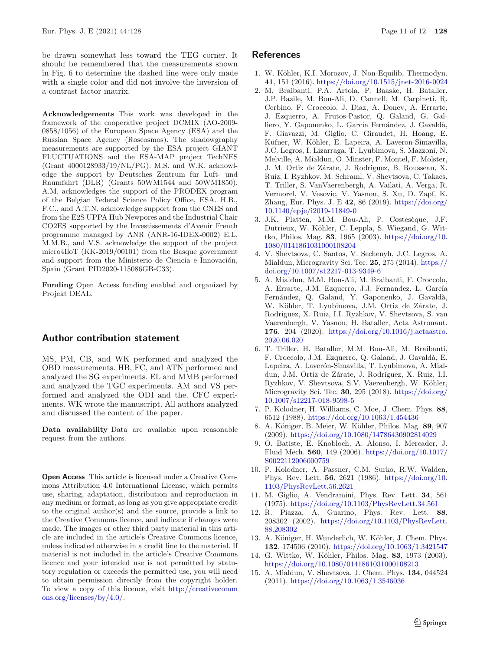be drawn somewhat less toward the TEG corner. It should be remembered that the measurements shown in Fig. 6 to determine the dashed line were only made with a single color and did not involve the inversion of a contrast factor matrix.

**Acknowledgements** This work was developed in the framework of the cooperative project DCMIX (AO-2009- 0858/1056) of the European Space Agency (ESA) and the Russian Space Agency (Roscosmos). The shadowgraphy measurements are supported by the ESA project GIANT FLUCTUATIONS and the ESA-MAP project TechNES (Grant 4000128933/19/NL/PG). M.S. and W.K. acknowledge the support by Deutsches Zentrum für Luft- und Raumfahrt (DLR) (Grants 50WM1544 and 50WM1850). A.M. acknowledges the support of the PRODEX program of the Belgian Federal Science Policy Office, ESA. H.B., F.C., and A.T.N. acknowledge support from the CNES and from the E2S UPPA Hub Newpores and the Industrial Chair CO2ES supported by the Investissements d'Avenir French programme managed by ANR (ANR-16-IDEX-0002) E.L, M.M.B., and V.S. acknowledge the support of the project micro4IloT (KK-2019/00101) from the Basque government and support from the Ministerio de Ciencia e Innovación, Spain (Grant PID2020-115086GB-C33).

**Funding** Open Access funding enabled and organized by Projekt DEAL.

## **Author contribution statement**

MS, PM, CB, and WK performed and analyzed the OBD measurements. HB, FC, and ATN performed and analyzed the SG experiments. EL and MMB performed and analyzed the TGC experiments. AM and VS performed and analyzed the ODI and the. CFC experiments. WK wrote the manuscript. All authors analyzed and discussed the content of the paper.

**Data availability** Data are available upon reasonable request from the authors.

**Open Access** This article is licensed under a Creative Commons Attribution 4.0 International License, which permits use, sharing, adaptation, distribution and reproduction in any medium or format, as long as you give appropriate credit to the original author(s) and the source, provide a link to the Creative Commons licence, and indicate if changes were made. The images or other third party material in this article are included in the article's Creative Commons licence, unless indicated otherwise in a credit line to the material. If material is not included in the article's Creative Commons licence and your intended use is not permitted by statutory regulation or exceeds the permitted use, you will need to obtain permission directly from the copyright holder. To view a copy of this licence, visit [http://creativecomm](http://creativecommons.org/licenses/by/4.0/) [ons.org/licenses/by/4.0/.](http://creativecommons.org/licenses/by/4.0/)

# **References**

- <span id="page-10-0"></span>1. W. Köhler, K.I. Morozov, J. Non-Equilib, Thermodyn. **41**, 151 (2016). <https://doi.org/10.1515/jnet-2016-0024>
- <span id="page-10-1"></span>2. M. Braibanti, P.A. Artola, P. Baaske, H. Bataller, J.P. Bazile, M. Bou-Ali, D. Cannell, M. Carpineti, R. Cerbino, F. Croccolo, J. Diaz, A. Donev, A. Errarte, J. Ezquerro, A. Frutos-Pastor, Q. Galand, G. Galliero, Y. Gaponenko, L. García Fernández, J. Gavaldà, F. Giavazzi, M. Giglio, C. Giraudet, H. Hoang, E. Kufner, W. Köhler, E. Lapeira, A. Laveron-Simavilla, J.C. Legros, I. Lizarraga, T. Lyubimova, S. Mazzoni, N. Melville, A. Mialdun, O. Minster, F. Montel, F. Molster, J. M. Ortiz de Zárate, J. Rodriguez, B. Rousseau, X. Ruiz, I. Ryzhkov, M. Schraml, V. Shevtsova, C. Takacs, T. Triller, S. VanVaerenbergh, A. Vailati, A. Verga, R. Vermorel, V. Vesovic, V. Yasnou, S. Xu, D. Zapf, K. Zhang, Eur. Phys. J. E **42**, 86 (2019). [https://doi.org/](https://doi.org/10.1140/epje/i2019-11849-0) [10.1140/epje/i2019-11849-0](https://doi.org/10.1140/epje/i2019-11849-0)
- <span id="page-10-2"></span>3. J.K. Platten, M.M. Bou-Ali, P. Costesèque, J.F. Dutrieux, W. Köhler, C. Leppla, S. Wiegand, G. Wittko, Philos. Mag. **83**, 1965 (2003). [https://doi.org/10.](https://doi.org/10.1080/0141861031000108204) [1080/0141861031000108204](https://doi.org/10.1080/0141861031000108204)
- <span id="page-10-3"></span>4. V. Shevtsova, C. Santos, V. Sechenyh, J.C. Legros, A. Mialdun, Microgravity Sci. Tec. **25**, 275 (2014). [https://](https://doi.org/10.1007/s12217-013-9349-6) [doi.org/10.1007/s12217-013-9349-6](https://doi.org/10.1007/s12217-013-9349-6)
- <span id="page-10-4"></span>5. A. Mialdun, M.M. Bou-Ali, M. Braibanti, F. Croccolo, A. Errarte, J.M. Ezquerro, J.J. Fernandez, L. García Fernández, Q. Galand, Y. Gaponenko, J. Gavaldà, W. Köhler, T. Lyubimova, J.M. Ortiz de Zárate, J. Rodriguez, X. Ruiz, I.I. Ryzhkov, V. Shevtsova, S. van Vaerenbergh, V. Yasnou, H. Bataller, Acta Astronaut. **176**, 204 (2020). [https://doi.org/10.1016/j.actaastro.](https://doi.org/10.1016/j.actaastro.2020.06.020) [2020.06.020](https://doi.org/10.1016/j.actaastro.2020.06.020)
- <span id="page-10-5"></span>6. T. Triller, H. Bataller, M.M. Bou-Ali, M. Braibanti, F. Croccolo, J.M. Ezquerro, Q. Galand, J. Gavald`a, E. Lapeira, A. Laverón-Simavilla, T. Lyubimova, A. Mialdun, J.M. Ortiz de Zárate, J. Rodríguez, X. Ruiz, I.I. Ryzhkov, V. Shevtsova, S.V. Vaerenbergh, W. Köhler, Microgravity Sci. Tec. **30**, 295 (2018). [https://doi.org/](https://doi.org/10.1007/s12217-018-9598-5) [10.1007/s12217-018-9598-5](https://doi.org/10.1007/s12217-018-9598-5)
- <span id="page-10-6"></span>7. P. Kolodner, H. Williams, C. Moe, J. Chem. Phys. **88**, 6512 (1988). <https://doi.org/10.1063/1.454436>
- <span id="page-10-7"></span>8. A. K¨oniger, B. Meier, W. K¨ohler, Philos. Mag. **89**, 907 (2009). <https://doi.org/10.1080/14786430902814029>
- <span id="page-10-8"></span>9. O. Batiste, E. Knobloch, A. Alonso, I. Mercader, J. Fluid Mech. **560**, 149 (2006). [https://doi.org/10.1017/](https://doi.org/10.1017/S0022112006000759) [S0022112006000759](https://doi.org/10.1017/S0022112006000759)
- <span id="page-10-9"></span>10. P. Kolodner, A. Passner, C.M. Surko, R.W. Walden, Phys. Rev. Lett. **56**, 2621 (1986). [https://doi.org/10.](https://doi.org/10.1103/PhysRevLett.56.2621) [1103/PhysRevLett.56.2621](https://doi.org/10.1103/PhysRevLett.56.2621)
- <span id="page-10-10"></span>11. M. Giglio, A. Vendramini, Phys. Rev. Lett. **34**, 561 (1975). <https://doi.org/10.1103/PhysRevLett.34.561>
- <span id="page-10-11"></span>12. R. Piazza, A. Guarino, Phys. Rev. Lett. **88**, 208302 (2002). [https://doi.org/10.1103/PhysRevLett.](https://doi.org/10.1103/PhysRevLett.88.208302) [88.208302](https://doi.org/10.1103/PhysRevLett.88.208302)
- <span id="page-10-12"></span>13. A. Königer, H. Wunderlich, W. Köhler, J. Chem. Phys. **132**, 174506 (2010). <https://doi.org/10.1063/1.3421547>
- <span id="page-10-13"></span>14. G. Wittko, W. K¨ohler, Philos. Mag. **83**, 1973 (2003). <https://doi.org/10.1080/0141861031000108213>
- <span id="page-10-14"></span>15. A. Mialdun, V. Shevtsova, J. Chem. Phys. **134**, 044524 (2011). <https://doi.org/10.1063/1.3546036>